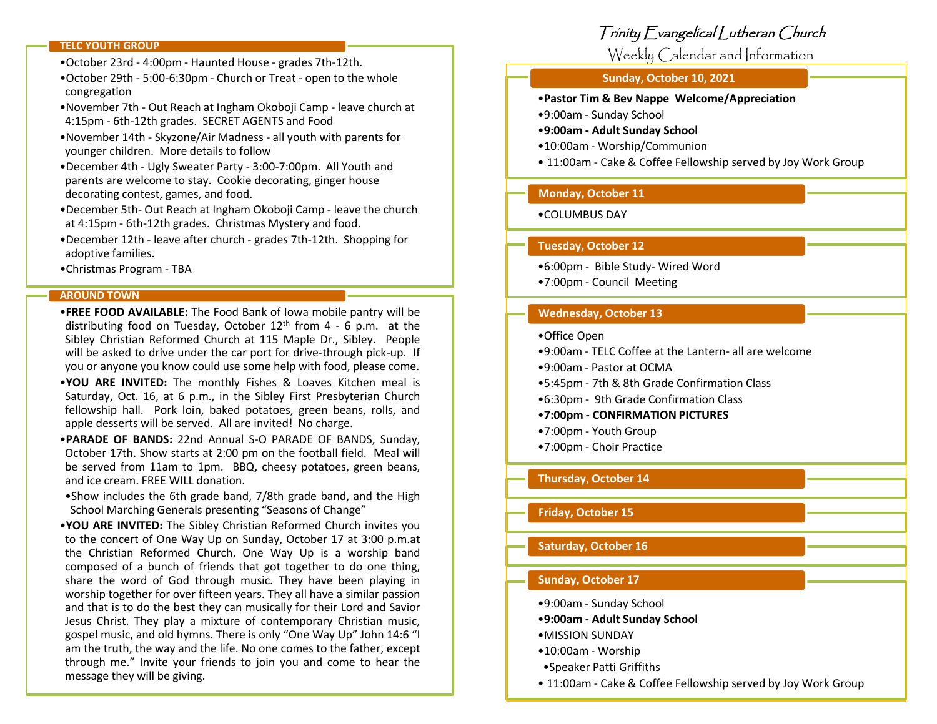#### **TELC YOUTH GROUP**

- •October 23rd 4:00pm Haunted House grades 7th-12th.
- •October 29th 5:00-6:30pm Church or Treat open to the whole congregation
- •November 7th Out Reach at Ingham Okoboji Camp leave church at 4:15pm - 6th-12th grades. SECRET AGENTS and Food
- •November 14th Skyzone/Air Madness all youth with parents for younger children. More details to follow
- •December 4th Ugly Sweater Party 3:00-7:00pm. All Youth and parents are welcome to stay. Cookie decorating, ginger house decorating contest, games, and food.
- •December 5th- Out Reach at Ingham Okoboji Camp leave the church at 4:15pm - 6th-12th grades. Christmas Mystery and food.
- •December 12th leave after church grades 7th-12th. Shopping for adoptive families.
- •Christmas Program TBA

#### **AROUND TOWN**

- •**FREE FOOD AVAILABLE:** The Food Bank of Iowa mobile pantry will be distributing food on Tuesday, October  $12<sup>th</sup>$  from 4 - 6 p.m. at the Sibley Christian Reformed Church at 115 Maple Dr., Sibley. People will be asked to drive under the car port for drive-through pick-up. If you or anyone you know could use some help with food, please come.
- •**YOU ARE INVITED:** The monthly Fishes & Loaves Kitchen meal is Saturday, Oct. 16, at 6 p.m., in the Sibley First Presbyterian Church fellowship hall. Pork loin, baked potatoes, green beans, rolls, and apple desserts will be served. All are invited! No charge.
- •**PARADE OF BANDS:** 22nd Annual S-O PARADE OF BANDS, Sunday, October 17th. Show starts at 2:00 pm on the football field. Meal will be served from 11am to 1pm. BBQ, cheesy potatoes, green beans, and ice cream. FREE WILL donation.
- •Show includes the 6th grade band, 7/8th grade band, and the High School Marching Generals presenting "Seasons of Change"
- •**YOU ARE INVITED:** The Sibley Christian Reformed Church invites you to the concert of One Way Up on Sunday, October 17 at 3:00 p.m.at the Christian Reformed Church. One Way Up is a worship band composed of a bunch of friends that got together to do one thing, share the word of God through music. They have been playing in worship together for over fifteen years. They all have a similar passion and that is to do the best they can musically for their Lord and Savior Jesus Christ. They play a mixture of contemporary Christian music, gospel music, and old hymns. There is only "One Way Up" John 14:6 "I am the truth, the way and the life. No one comes to the father, except through me." Invite your friends to join you and come to hear the message they will be giving.

## Trinity Evangelical Lutheran Church

Weekly Calendar and Information

#### **Sunday, October 10, 2021**

•**Pastor Tim & Bev Nappe Welcome/Appreciation**

•9:00am - Sunday School

•**9:00am - Adult Sunday School**

- •10:00am Worship/Communion
- 11:00am Cake & Coffee Fellowship served by Joy Work Group

## **Monday, October 11**

#### •COLUMBUS DAY

#### **Tuesday, October 12**

- •6:00pm Bible Study- Wired Word
- •7:00pm Council Meeting

#### **Wednesday, October 13**

- •Office Open
- •9:00am TELC Coffee at the Lantern- all are welcome
- •9:00am Pastor at OCMA
- •5:45pm 7th & 8th Grade Confirmation Class
- •6:30pm 9th Grade Confirmation Class
- •**7:00pm - CONFIRMATION PICTURES**
- •7:00pm Youth Group
- •7:00pm Choir Practice

## **Thursday**, **October 14**

**Friday, October 15**

## **Saturday, October 16**

## **Sunday, October 17**

•9:00am - Sunday School

- •**9:00am - Adult Sunday School**
- •MISSION SUNDAY
- •10:00am Worship
- •Speaker Patti Griffiths
- 11:00am Cake & Coffee Fellowship served by Joy Work Group